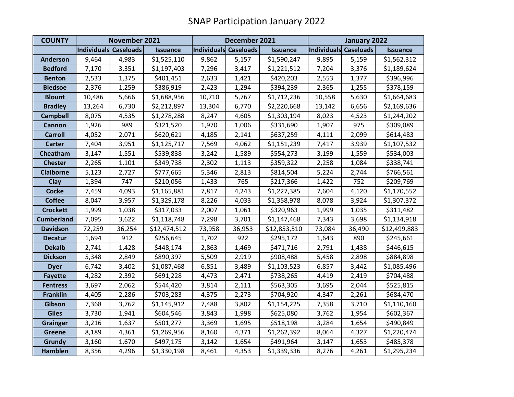| <b>COUNTY</b>     | November 2021         |        |                 | December 2021         |        |                 | January 2022          |        |                 |
|-------------------|-----------------------|--------|-----------------|-----------------------|--------|-----------------|-----------------------|--------|-----------------|
|                   | Individuals Caseloads |        | <b>Issuance</b> | Individuals Caseloads |        | <b>Issuance</b> | Individuals Caseloads |        | <b>Issuance</b> |
| <b>Anderson</b>   | 9,464                 | 4,983  | \$1,525,110     | 9,862                 | 5,157  | \$1,590,247     | 9,895                 | 5,159  | \$1,562,312     |
| <b>Bedford</b>    | 7,170                 | 3,351  | \$1,197,403     | 7,296                 | 3,417  | \$1,221,512     | 7,204                 | 3,376  | \$1,189,624     |
| <b>Benton</b>     | 2,533                 | 1,375  | \$401,451       | 2,633                 | 1,421  | \$420,203       | 2,553                 | 1,377  | \$396,996       |
| <b>Bledsoe</b>    | 2,376                 | 1,259  | \$386,919       | 2,423                 | 1,294  | \$394,239       | 2,365                 | 1,255  | \$378,159       |
| <b>Blount</b>     | 10,486                | 5,666  | \$1,688,956     | 10,710                | 5,767  | \$1,712,236     | 10,558                | 5,630  | \$1,664,683     |
| <b>Bradley</b>    | 13,264                | 6,730  | \$2,212,897     | 13,304                | 6,770  | \$2,220,668     | 13,142                | 6,656  | \$2,169,636     |
| <b>Campbell</b>   | 8,075                 | 4,535  | \$1,278,288     | 8,247                 | 4,605  | \$1,303,194     | 8,023                 | 4,523  | \$1,244,202     |
| <b>Cannon</b>     | 1,926                 | 989    | \$321,520       | 1,970                 | 1,006  | \$331,690       | 1,907                 | 975    | \$309,089       |
| <b>Carroll</b>    | 4,052                 | 2,071  | \$620,621       | 4,185                 | 2,141  | \$637,259       | 4,111                 | 2,099  | \$614,483       |
| <b>Carter</b>     | 7,404                 | 3,951  | \$1,125,717     | 7,569                 | 4,062  | \$1,151,239     | 7,417                 | 3,939  | \$1,107,532     |
| Cheatham          | 3,147                 | 1,551  | \$539,838       | 3,242                 | 1,589  | \$554,273       | 3,199                 | 1,559  | \$534,003       |
| <b>Chester</b>    | 2,265                 | 1,101  | \$349,738       | 2,302                 | 1,113  | \$359,322       | 2,258                 | 1,084  | \$338,741       |
| <b>Claiborne</b>  | 5,123                 | 2,727  | \$777,665       | 5,346                 | 2,813  | \$814,504       | 5,224                 | 2,744  | \$766,561       |
| Clay              | 1,394                 | 747    | \$210,056       | 1,433                 | 765    | \$217,366       | 1,422                 | 752    | \$209,769       |
| <b>Cocke</b>      | 7,459                 | 4,093  | \$1,165,881     | 7,817                 | 4,243  | \$1,227,385     | 7,604                 | 4,120  | \$1,170,552     |
| <b>Coffee</b>     | 8,047                 | 3,957  | \$1,329,178     | 8,226                 | 4,033  | \$1,358,978     | 8,078                 | 3,924  | \$1,307,372     |
| <b>Crockett</b>   | 1,999                 | 1,038  | \$317,033       | 2,007                 | 1,061  | \$320,963       | 1,999                 | 1,035  | \$311,482       |
| <b>Cumberland</b> | 7,095                 | 3,622  | \$1,118,748     | 7,298                 | 3,701  | \$1,147,468     | 7,343                 | 3,698  | \$1,134,918     |
| <b>Davidson</b>   | 72,259                | 36,254 | \$12,474,512    | 73,958                | 36,953 | \$12,853,510    | 73,084                | 36,490 | \$12,499,883    |
| <b>Decatur</b>    | 1,694                 | 912    | \$256,645       | 1,702                 | 922    | \$295,172       | 1,643                 | 890    | \$245,661       |
| <b>Dekalb</b>     | 2,741                 | 1,428  | \$448,174       | 2,863                 | 1,469  | \$471,716       | 2,791                 | 1,438  | \$446,615       |
| <b>Dickson</b>    | 5,348                 | 2,849  | \$890,397       | 5,509                 | 2,919  | \$908,488       | 5,458                 | 2,898  | \$884,898       |
| <b>Dyer</b>       | 6,742                 | 3,402  | \$1,087,468     | 6,851                 | 3,489  | \$1,103,523     | 6,857                 | 3,442  | \$1,085,496     |
| <b>Fayette</b>    | 4,282                 | 2,392  | \$691,228       | 4,473                 | 2,471  | \$738,265       | 4,419                 | 2,419  | \$704,488       |
| <b>Fentress</b>   | 3,697                 | 2,062  | \$544,420       | 3,814                 | 2,111  | \$563,305       | 3,695                 | 2,044  | \$525,815       |
| <b>Franklin</b>   | 4,405                 | 2,286  | \$703,283       | 4,375                 | 2,273  | \$704,920       | 4,347                 | 2,261  | \$684,470       |
| Gibson            | 7,368                 | 3,762  | \$1,145,912     | 7,488                 | 3,802  | \$1,154,225     | 7,358                 | 3,710  | \$1,110,160     |
| <b>Giles</b>      | 3,730                 | 1,941  | \$604,546       | 3,843                 | 1,998  | \$625,080       | 3,762                 | 1,954  | \$602,367       |
| <b>Grainger</b>   | 3,216                 | 1,637  | \$501,277       | 3,369                 | 1,695  | \$518,198       | 3,284                 | 1,654  | \$490,849       |
| <b>Greene</b>     | 8,189                 | 4,361  | \$1,269,956     | 8,160                 | 4,371  | \$1,262,392     | 8,064                 | 4,327  | \$1,220,474     |
| <b>Grundy</b>     | 3,160                 | 1,670  | \$497,175       | 3,142                 | 1,654  | \$491,964       | 3,147                 | 1,653  | \$485,378       |
| <b>Hamblen</b>    | 8,356                 | 4,296  | \$1,330,198     | 8,461                 | 4,353  | \$1,339,336     | 8,276                 | 4,261  | \$1,295,234     |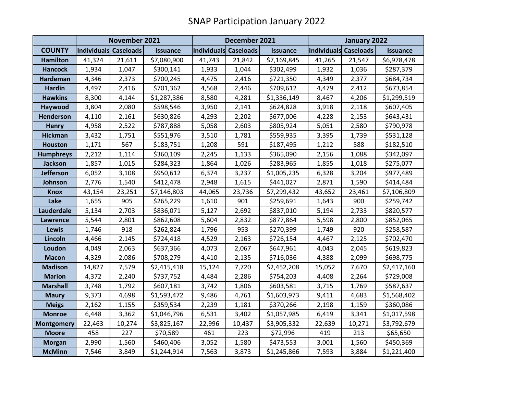|                   | November 2021         |        |                 | December 2021         |        |                 | January 2022          |        |                 |
|-------------------|-----------------------|--------|-----------------|-----------------------|--------|-----------------|-----------------------|--------|-----------------|
| <b>COUNTY</b>     | Individuals Caseloads |        | <b>Issuance</b> | Individuals Caseloads |        | <b>Issuance</b> | Individuals Caseloads |        | <b>Issuance</b> |
| <b>Hamilton</b>   | 41,324                | 21,611 | \$7,080,900     | 41,743                | 21,842 | \$7,169,845     | 41,265                | 21,547 | \$6,978,478     |
| <b>Hancock</b>    | 1,934                 | 1,047  | \$300,141       | 1,933                 | 1,044  | \$302,499       | 1,932                 | 1,036  | \$287,379       |
| <b>Hardeman</b>   | 4,346                 | 2,373  | \$700,245       | 4,475                 | 2,416  | \$721,350       | 4,349                 | 2,377  | \$684,734       |
| <b>Hardin</b>     | 4,497                 | 2,416  | \$701,362       | 4,568                 | 2,446  | \$709,612       | 4,479                 | 2,412  | \$673,854       |
| <b>Hawkins</b>    | 8,300                 | 4,144  | \$1,287,386     | 8,580                 | 4,281  | \$1,336,149     | 8,467                 | 4,206  | \$1,299,519     |
| Haywood           | 3,804                 | 2,080  | \$598,546       | 3,950                 | 2,141  | \$624,828       | 3,918                 | 2,118  | \$607,405       |
| <b>Henderson</b>  | 4,110                 | 2,161  | \$630,826       | 4,293                 | 2,202  | \$677,006       | 4,228                 | 2,153  | \$643,431       |
| <b>Henry</b>      | 4,958                 | 2,522  | \$787,888       | 5,058                 | 2,603  | \$805,924       | 5,051                 | 2,580  | \$790,978       |
| <b>Hickman</b>    | 3,432                 | 1,751  | \$551,976       | 3,510                 | 1,781  | \$559,935       | 3,395                 | 1,739  | \$531,128       |
| <b>Houston</b>    | 1,171                 | 567    | \$183,751       | 1,208                 | 591    | \$187,495       | 1,212                 | 588    | \$182,510       |
| <b>Humphreys</b>  | 2,212                 | 1,114  | \$360,109       | 2,245                 | 1,133  | \$365,090       | 2,156                 | 1,088  | \$342,097       |
| <b>Jackson</b>    | 1,857                 | 1,015  | \$284,323       | 1,864                 | 1,026  | \$283,965       | 1,855                 | 1,018  | \$275,077       |
| <b>Jefferson</b>  | 6,052                 | 3,108  | \$950,612       | 6,374                 | 3,237  | \$1,005,235     | 6,328                 | 3,204  | \$977,489       |
| Johnson           | 2,776                 | 1,540  | \$412,478       | 2,948                 | 1,615  | \$441,027       | 2,871                 | 1,590  | \$414,484       |
| <b>Knox</b>       | 43,154                | 23,251 | \$7,146,803     | 44,065                | 23,736 | \$7,299,432     | 43,652                | 23,461 | \$7,106,809     |
| Lake              | 1,655                 | 905    | \$265,229       | 1,610                 | 901    | \$259,691       | 1,643                 | 900    | \$259,742       |
| Lauderdale        | 5,134                 | 2,703  | \$836,071       | 5,127                 | 2,692  | \$837,010       | 5,194                 | 2,733  | \$820,577       |
| <b>Lawrence</b>   | 5,544                 | 2,801  | \$862,608       | 5,604                 | 2,832  | \$877,864       | 5,598                 | 2,800  | \$852,065       |
| Lewis             | 1,746                 | 918    | \$262,824       | 1,796                 | 953    | \$270,399       | 1,749                 | 920    | \$258,587       |
| Lincoln           | 4,466                 | 2,145  | \$724,418       | 4,529                 | 2,163  | \$726,154       | 4,467                 | 2,125  | \$702,470       |
| Loudon            | 4,049                 | 2,063  | \$637,366       | 4,073                 | 2,067  | \$647,961       | 4,043                 | 2,045  | \$619,823       |
| <b>Macon</b>      | 4,329                 | 2,086  | \$708,279       | 4,410                 | 2,135  | \$716,036       | 4,388                 | 2,099  | \$698,775       |
| <b>Madison</b>    | 14,827                | 7,579  | \$2,415,418     | 15,124                | 7,720  | \$2,452,208     | 15,052                | 7,670  | \$2,417,160     |
| <b>Marion</b>     | 4,372                 | 2,240  | \$737,752       | 4,484                 | 2,286  | \$754,203       | 4,408                 | 2,264  | \$729,008       |
| <b>Marshall</b>   | 3,748                 | 1,792  | \$607,181       | 3,742                 | 1,806  | \$603,581       | 3,715                 | 1,769  | \$587,637       |
| <b>Maury</b>      | 9,373                 | 4,698  | \$1,593,472     | 9,486                 | 4,761  | \$1,603,973     | 9,411                 | 4,683  | \$1,568,402     |
| <b>Meigs</b>      | 2,162                 | 1,155  | \$359,534       | 2,239                 | 1,181  | \$370,266       | 2,198                 | 1,159  | \$360,086       |
| <b>Monroe</b>     | 6,448                 | 3,362  | \$1,046,796     | 6,531                 | 3,402  | \$1,057,985     | 6,419                 | 3,341  | \$1,017,598     |
| <b>Montgomery</b> | 22,463                | 10,274 | \$3,825,167     | 22,996                | 10,437 | \$3,905,332     | 22,639                | 10,271 | \$3,792,679     |
| <b>Moore</b>      | 458                   | 227    | \$70,589        | 461                   | 223    | \$72,996        | 419                   | 213    | \$65,650        |
| <b>Morgan</b>     | 2,990                 | 1,560  | \$460,406       | 3,052                 | 1,580  | \$473,553       | 3,001                 | 1,560  | \$450,369       |
| <b>McMinn</b>     | 7,546                 | 3,849  | \$1,244,914     | 7,563                 | 3,873  | \$1,245,866     | 7,593                 | 3,884  | \$1,221,400     |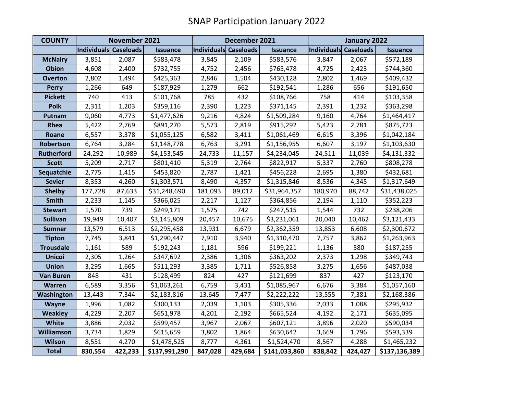| <b>COUNTY</b>     | November 2021         |         |                 | December 2021         |         |                 | January 2022          |         |                 |
|-------------------|-----------------------|---------|-----------------|-----------------------|---------|-----------------|-----------------------|---------|-----------------|
|                   | Individuals Caseloads |         | <b>Issuance</b> | Individuals Caseloads |         | <b>Issuance</b> | Individuals Caseloads |         | <b>Issuance</b> |
| <b>McNairy</b>    | 3,851                 | 2,087   | \$583,478       | 3,845                 | 2,109   | \$583,576       | 3,847                 | 2,067   | \$572,189       |
| <b>Obion</b>      | 4,608                 | 2,400   | \$732,755       | 4,752                 | 2,456   | \$765,478       | 4,725                 | 2,423   | \$744,360       |
| <b>Overton</b>    | 2,802                 | 1,494   | \$425,363       | 2,846                 | 1,504   | \$430,128       | 2,802                 | 1,469   | \$409,432       |
| <b>Perry</b>      | 1,266                 | 649     | \$187,929       | 1,279                 | 662     | \$192,541       | 1,286                 | 656     | \$191,650       |
| <b>Pickett</b>    | 740                   | 413     | \$101,768       | 785                   | 432     | \$108,766       | 758                   | 414     | \$103,358       |
| <b>Polk</b>       | 2,311                 | 1,203   | \$359,116       | 2,390                 | 1,223   | \$371,145       | 2,391                 | 1,232   | \$363,298       |
| Putnam            | 9,060                 | 4,773   | \$1,477,626     | 9,216                 | 4,824   | \$1,509,284     | 9,160                 | 4,764   | \$1,464,417     |
| Rhea              | 5,422                 | 2,769   | \$891,270       | 5,573                 | 2,819   | \$915,292       | 5,423                 | 2,781   | \$875,723       |
| Roane             | 6,557                 | 3,378   | \$1,055,125     | 6,582                 | 3,411   | \$1,061,469     | 6,615                 | 3,396   | \$1,042,184     |
| Robertson         | 6,764                 | 3,284   | \$1,148,778     | 6,763                 | 3,291   | \$1,156,955     | 6,607                 | 3,197   | \$1,103,630     |
| <b>Rutherford</b> | 24,292                | 10,989  | \$4,153,545     | 24,733                | 11,157  | \$4,234,045     | 24,511                | 11,039  | \$4,131,332     |
| <b>Scott</b>      | 5,209                 | 2,717   | \$801,410       | 5,319                 | 2,764   | \$822,917       | 5,337                 | 2,760   | \$808,278       |
| Sequatchie        | 2,775                 | 1,415   | \$453,820       | 2,787                 | 1,421   | \$456,228       | 2,695                 | 1,380   | \$432,681       |
| <b>Sevier</b>     | 8,353                 | 4,260   | \$1,303,571     | 8,490                 | 4,357   | \$1,315,846     | 8,536                 | 4,345   | \$1,317,649     |
| <b>Shelby</b>     | 177,728               | 87,633  | \$31,248,690    | 181,093               | 89,012  | \$31,964,357    | 180,970               | 88,742  | \$31,438,025    |
| <b>Smith</b>      | 2,233                 | 1,145   | \$366,025       | 2,217                 | 1,127   | \$364,856       | 2,194                 | 1,110   | \$352,223       |
| <b>Stewart</b>    | 1,570                 | 739     | \$249,171       | 1,575                 | 742     | \$247,515       | 1,544                 | 732     | \$238,206       |
| <b>Sullivan</b>   | 19,949                | 10,407  | \$3,145,809     | 20,457                | 10,675  | \$3,231,061     | 20,040                | 10,462  | \$3,121,433     |
| <b>Sumner</b>     | 13,579                | 6,513   | \$2,295,458     | 13,931                | 6,679   | \$2,362,359     | 13,853                | 6,608   | \$2,300,672     |
| <b>Tipton</b>     | 7,745                 | 3,841   | \$1,290,447     | 7,910                 | 3,940   | \$1,310,470     | 7,757                 | 3,862   | \$1,263,963     |
| <b>Trousdale</b>  | 1,161                 | 589     | \$192,243       | 1,181                 | 596     | \$199,221       | 1,136                 | 580     | \$187,255       |
| <b>Unicoi</b>     | 2,305                 | 1,264   | \$347,692       | 2,386                 | 1,306   | \$363,202       | 2,373                 | 1,298   | \$349,743       |
| <b>Union</b>      | 3,295                 | 1,665   | \$511,293       | 3,385                 | 1,711   | \$526,858       | 3,275                 | 1,656   | \$487,038       |
| <b>Van Buren</b>  | 848                   | 431     | \$128,499       | 824                   | 427     | \$121,699       | 837                   | 427     | \$123,170       |
| Warren            | 6,589                 | 3,356   | \$1,063,261     | 6,759                 | 3,431   | \$1,085,967     | 6,676                 | 3,384   | \$1,057,160     |
| Washington        | 13,443                | 7,344   | \$2,183,816     | 13,645                | 7,477   | \$2,222,222     | 13,555                | 7,381   | \$2,168,386     |
| <b>Wayne</b>      | 1,996                 | 1,082   | \$300,133       | 2,039                 | 1,103   | \$305,336       | 2,033                 | 1,088   | \$295,932       |
| <b>Weakley</b>    | 4,229                 | 2,207   | \$651,978       | 4,201                 | 2,192   | \$665,524       | 4,192                 | 2,171   | \$635,095       |
| <b>White</b>      | 3,886                 | 2,032   | \$599,457       | 3,967                 | 2,067   | \$607,121       | 3,896                 | 2,020   | \$590,034       |
| <b>Williamson</b> | 3,734                 | 1,829   | \$615,659       | 3,802                 | 1,864   | \$630,642       | 3,669                 | 1,796   | \$593,339       |
| <b>Wilson</b>     | 8,551                 | 4,270   | \$1,478,525     | 8,777                 | 4,361   | \$1,524,470     | 8,567                 | 4,288   | \$1,465,232     |
| <b>Total</b>      | 830,554               | 422,233 | \$137,991,290   | 847,028               | 429,684 | \$141,033,860   | 838,842               | 424,427 | \$137,136,389   |